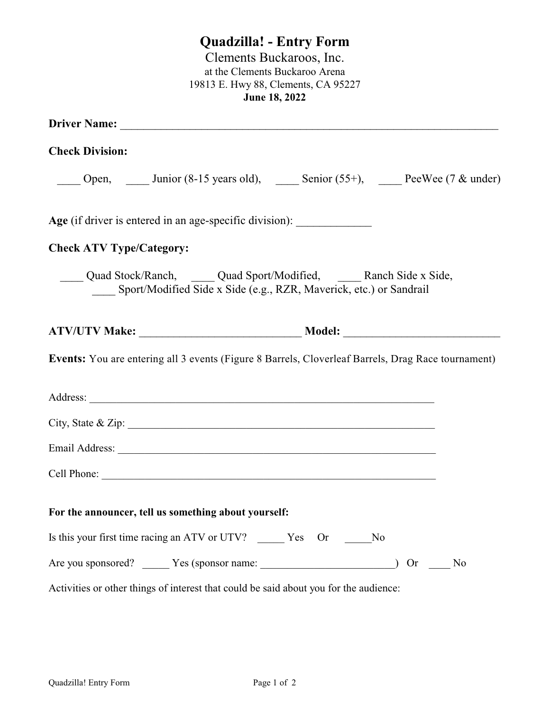# **Quadzilla! - Entry Form**

Clements Buckaroos, Inc. at the Clements Buckaroo Arena 19813 E. Hwy 88, Clements, CA 95227 **June 18, 2022**

| Driver Name: 1988 and 1988 and 1988 and 1988 and 1988 and 1988 and 1988 and 1988 and 1988 and 1988 and 1988 and 1988 and 1988 and 1988 and 1988 and 1988 and 1988 and 1988 and 1988 and 1988 and 1988 and 1988 and 1988 and 19                                                                                 |                                                                        |       |
|----------------------------------------------------------------------------------------------------------------------------------------------------------------------------------------------------------------------------------------------------------------------------------------------------------------|------------------------------------------------------------------------|-------|
| <b>Check Division:</b>                                                                                                                                                                                                                                                                                         |                                                                        |       |
| Open, Junior (8-15 years old), Senior (55+), PeeWee (7 & under)                                                                                                                                                                                                                                                |                                                                        |       |
|                                                                                                                                                                                                                                                                                                                |                                                                        |       |
| <b>Check ATV Type/Category:</b>                                                                                                                                                                                                                                                                                |                                                                        |       |
| Quad Stock/Ranch, Quad Sport/Modified, ______ Ranch Side x Side,                                                                                                                                                                                                                                               | ___ Sport/Modified Side x Side (e.g., RZR, Maverick, etc.) or Sandrail |       |
|                                                                                                                                                                                                                                                                                                                |                                                                        |       |
| <b>Events:</b> You are entering all 3 events (Figure 8 Barrels, Cloverleaf Barrels, Drag Race tournament)                                                                                                                                                                                                      |                                                                        |       |
|                                                                                                                                                                                                                                                                                                                |                                                                        |       |
| City, State & Zip: $\frac{1}{2}$ $\frac{1}{2}$ $\frac{1}{2}$ $\frac{1}{2}$ $\frac{1}{2}$ $\frac{1}{2}$ $\frac{1}{2}$ $\frac{1}{2}$ $\frac{1}{2}$ $\frac{1}{2}$ $\frac{1}{2}$ $\frac{1}{2}$ $\frac{1}{2}$ $\frac{1}{2}$ $\frac{1}{2}$ $\frac{1}{2}$ $\frac{1}{2}$ $\frac{1}{2}$ $\frac{1}{2}$ $\frac{1}{2}$ $\$ |                                                                        |       |
|                                                                                                                                                                                                                                                                                                                |                                                                        |       |
|                                                                                                                                                                                                                                                                                                                |                                                                        |       |
| For the announcer, tell us something about yourself:                                                                                                                                                                                                                                                           |                                                                        |       |
| Is this your first time racing an ATV or UTV? ______ Yes Or ______No                                                                                                                                                                                                                                           |                                                                        |       |
| Are you sponsored? _______ Yes (sponsor name: ___________________________________                                                                                                                                                                                                                              |                                                                        | Or No |
| Activities or other things of interest that could be said about you for the audience:                                                                                                                                                                                                                          |                                                                        |       |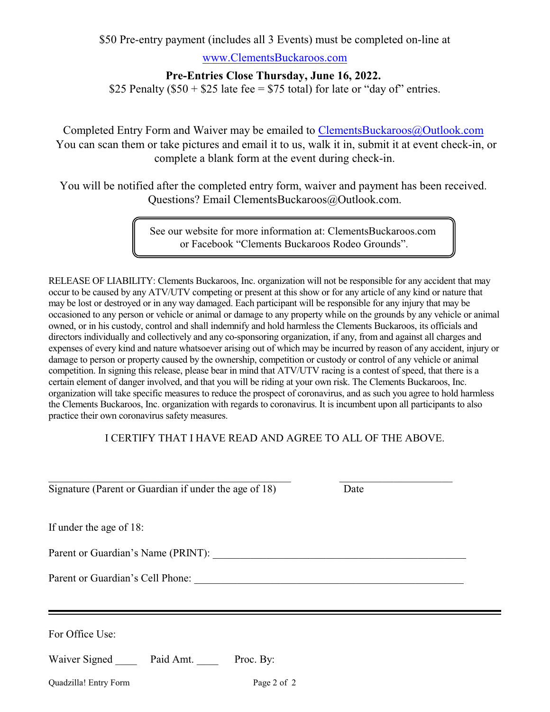\$50 Pre-entry payment (includes all 3 Events) must be completed on-line at

[www.ClementsBuckaroos.com](http://www.ClementsBuckaroos.com.)

#### **Pre-Entries Close Thursday, June 16, 2022.**

\$25 Penalty ( $$50 + $25$  late fee = \$75 total) for late or "day of" entries.

Completed Entry Form and Waiver may be emailed to [ClementsBuckaroos@Outlook.com](mailto:ClementsBuckaroos@Outlook.com) You can scan them or take pictures and email it to us, walk it in, submit it at event check-in, or complete a blank form at the event during check-in.

You will be notified after the completed entry form, waiver and payment has been received. Questions? Email ClementsBuckaroos@Outlook.com.

> See our website for more information at: ClementsBuckaroos.com or Facebook "Clements Buckaroos Rodeo Grounds".

RELEASE OF LIABILITY: Clements Buckaroos, Inc. organization will not be responsible for any accident that may occur to be caused by any ATV/UTV competing or present at this show or for any article of any kind or nature that may be lost or destroyed or in any way damaged. Each participant will be responsible for any injury that may be occasioned to any person or vehicle or animal or damage to any property while on the grounds by any vehicle or animal owned, or in his custody, control and shall indemnify and hold harmless the Clements Buckaroos, its officials and directors individually and collectively and any co-sponsoring organization, if any, from and against all charges and expenses of every kind and nature whatsoever arising out of which may be incurred by reason of any accident, injury or damage to person or property caused by the ownership, competition or custody or control of any vehicle or animal competition. In signing this release, please bear in mind that ATV/UTV racing is a contest of speed, that there is a certain element of danger involved, and that you will be riding at your own risk. The Clements Buckaroos, Inc. organization will take specific measures to reduce the prospect of coronavirus, and as such you agree to hold harmless the Clements Buckaroos, Inc. organization with regards to coronavirus. It is incumbent upon all participants to also practice their own coronavirus safety measures.

#### I CERTIFY THAT I HAVE READ AND AGREE TO ALL OF THE ABOVE.

\_\_\_\_\_\_\_\_\_\_\_\_\_\_\_\_\_\_\_\_\_\_\_\_\_\_\_\_\_\_\_\_\_\_\_\_\_\_\_\_\_\_\_\_\_ \_\_\_\_\_\_\_\_\_\_\_\_\_\_\_\_\_\_\_\_\_

Signature (Parent or Guardian if under the age of 18) Date

If under the age of 18:

Parent or Guardian's Name (PRINT): \_\_\_\_\_\_\_\_\_\_\_\_\_\_\_\_\_\_\_\_\_\_\_\_\_\_\_\_\_\_\_\_\_\_\_\_\_\_\_\_\_\_\_\_\_\_\_

Parent or Guardian's Cell Phone:

For Office Use:

| Waiver Signed | Paid Amt. | Proc. By: |
|---------------|-----------|-----------|
|---------------|-----------|-----------|

Quadzilla! Entry Form Page 2 of 2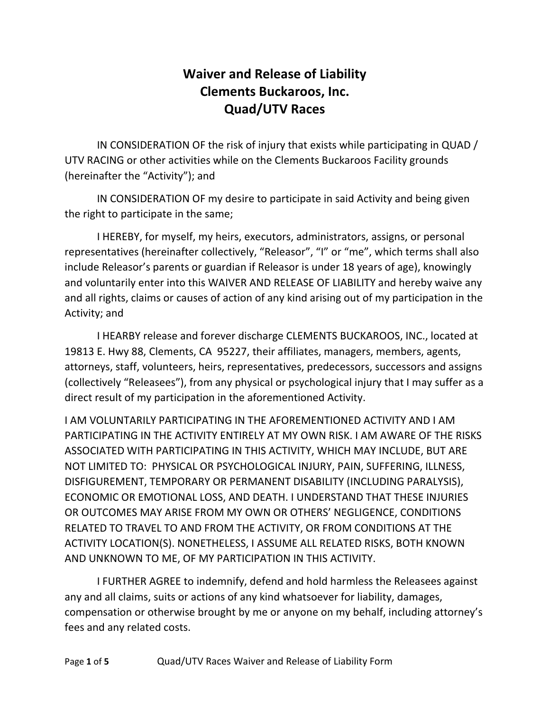## **Waiver and Release of Liability Clements Buckaroos, Inc. Quad/UTV Races**

IN CONSIDERATION OF the risk of injury that exists while participating in QUAD / UTV RACING or other activities while on the Clements Buckaroos Facility grounds (hereinafter the "Activity"); and

IN CONSIDERATION OF my desire to participate in said Activity and being given the right to participate in the same;

I HEREBY, for myself, my heirs, executors, administrators, assigns, or personal representatives (hereinafter collectively, "Releasor", "I" or "me", which terms shall also include Releasor's parents or guardian if Releasor is under 18 years of age), knowingly and voluntarily enter into this WAIVER AND RELEASE OF LIABILITY and hereby waive any and all rights, claims or causes of action of any kind arising out of my participation in the Activity; and

I HEARBY release and forever discharge CLEMENTS BUCKAROOS, INC., located at 19813 E. Hwy 88, Clements, CA 95227, their affiliates, managers, members, agents, attorneys, staff, volunteers, heirs, representatives, predecessors, successors and assigns (collectively "Releasees"), from any physical or psychological injury that I may suffer as a direct result of my participation in the aforementioned Activity.

I AM VOLUNTARILY PARTICIPATING IN THE AFOREMENTIONED ACTIVITY AND I AM PARTICIPATING IN THE ACTIVITY ENTIRELY AT MY OWN RISK. I AM AWARE OF THE RISKS ASSOCIATED WITH PARTICIPATING IN THIS ACTIVITY, WHICH MAY INCLUDE, BUT ARE NOT LIMITED TO: PHYSICAL OR PSYCHOLOGICAL INJURY, PAIN, SUFFERING, ILLNESS, DISFIGUREMENT, TEMPORARY OR PERMANENT DISABILITY (INCLUDING PARALYSIS), ECONOMIC OR EMOTIONAL LOSS, AND DEATH. I UNDERSTAND THAT THESE INJURIES OR OUTCOMES MAY ARISE FROM MY OWN OR OTHERS' NEGLIGENCE, CONDITIONS RELATED TO TRAVEL TO AND FROM THE ACTIVITY, OR FROM CONDITIONS AT THE ACTIVITY LOCATION(S). NONETHELESS, I ASSUME ALL RELATED RISKS, BOTH KNOWN AND UNKNOWN TO ME, OF MY PARTICIPATION IN THIS ACTIVITY.

I FURTHER AGREE to indemnify, defend and hold harmless the Releasees against any and all claims, suits or actions of any kind whatsoever for liability, damages, compensation or otherwise brought by me or anyone on my behalf, including attorney's fees and any related costs.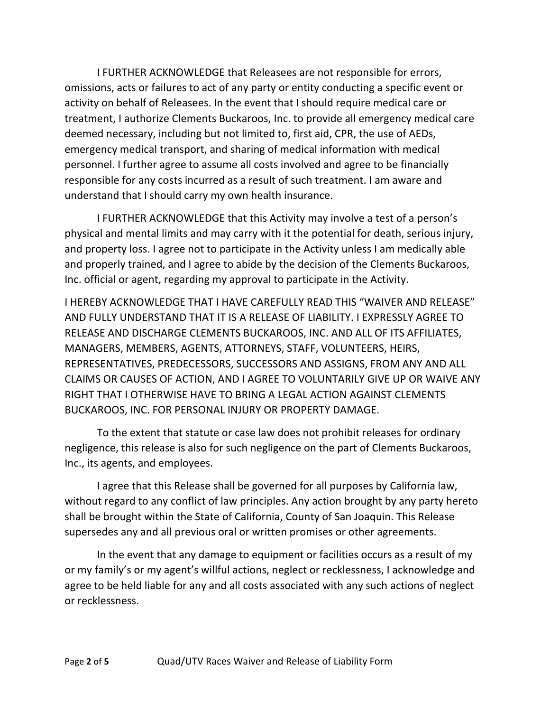I FURTHER ACKNOWLEDGE that Releasees are not responsible for errors, omissions, acts or failures to act of any party or entity conducting a specific event or activity on behalf of Releasees. In the event that I should require medical care or treatment, I authorize Clements Buckaroos, Inc. to provide all emergency medical care deemed necessary, including but not limited to, first aid, CPR, the use of AEDs, emergency medical transport, and sharing of medical information with medical personnel. I further agree to assume all costs involved and agree to be financially responsible for any costs incurred as a result of such treatment. I am aware and understand that I should carry my own health insurance.

I FURTHER ACKNOWLEDGE that this Activity may involve a test of a person's physical and mental limits and may carry with it the potential for death, serious injury, and property loss. I agree not to participate in the Activity unless I am medically able and properly trained, and I agree to abide by the decision of the Clements Buckaroos, Inc. official or agent, regarding my approval to participate in the Activity.

I HEREBY ACKNOWLEDGE THAT I HAVE CAREFULLY READ THIS "WAIVER AND RELEASE" AND FULLY UNDERSTAND THAT IT IS A RELEASE OF LIABILITY. I EXPRESSLY AGREE TO RELEASE AND DISCHARGE CLEMENTS BUCKAROOS, INC. AND ALL OF ITS AFFILIATES, MANAGERS, MEMBERS, AGENTS, ATTORNEYS, STAFF, VOLUNTEERS, HEIRS, REPRESENTATIVES, PREDECESSORS, SUCCESSORS AND ASSIGNS, FROM ANY AND ALL CLAIMS OR CAUSES OF ACTION, AND I AGREE TO VOLUNTARILY GIVE UP OR WAIVE ANY RIGHT THAT I OTHERWISE HAVE TO BRING A LEGAL ACTION AGAINST CLEMENTS BUCKAROOS, INC. FOR PERSONAL INJURY OR PROPERTY DAMAGE.

To the extent that statute or case law does not prohibit releases for ordinary negligence, this release is also for such negligence on the part of Clements Buckaroos, Inc., its agents, and employees.

I agree that this Release shall be governed for all purposes by California law, without regard to any conflict of law principles. Any action brought by any party hereto shall be brought within the State of California, County of San Joaquin. This Release supersedes any and all previous oral or written promises or other agreements.

In the event that any damage to equipment or facilities occurs as a result of my or my family's or my agent's willful actions, neglect or recklessness, I acknowledge and agree to be held liable for any and all costs associated with any such actions of neglect or recklessness.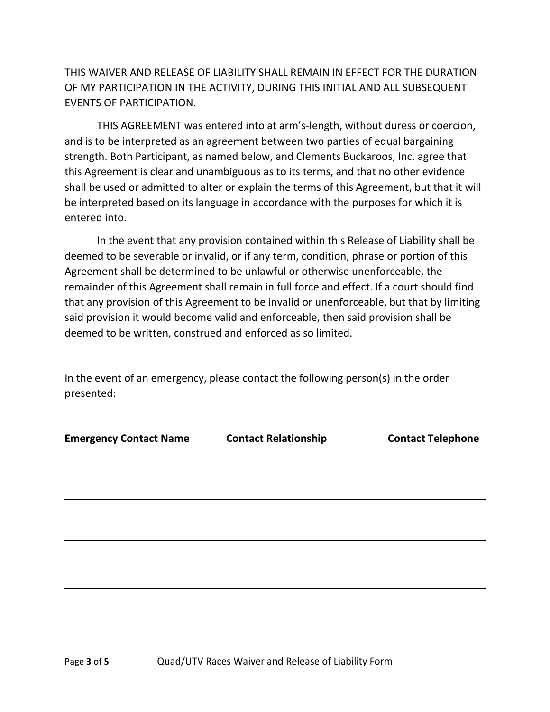THIS WAIVER AND RELEASE OF LIABILITY SHALL REMAIN IN EFFECT FOR THE DURATION OF MY PARTICIPATION IN THE ACTIVITY, DURING THIS INITIAL AND ALL SUBSEQUENT EVENTS OF PARTICIPATION.

THIS AGREEMENT was entered into at arm's-length, without duress or coercion, and is to be interpreted as an agreement between two parties of equal bargaining strength. Both Participant, as named below, and Clements Buckaroos, Inc. agree that this Agreement is clear and unambiguous as to its terms, and that no other evidence shall be used or admitted to alter or explain the terms of this Agreement, but that it will be interpreted based on its language in accordance with the purposes for which it is entered into.

In the event that any provision contained within this Release of Liability shall be deemed to be severable or invalid, or if any term, condition, phrase or portion of this Agreement shall be determined to be unlawful or otherwise unenforceable, the remainder of this Agreement shall remain in full force and effect. If a court should find that any provision of this Agreement to be invalid or unenforceable, but that by limiting said provision it would become valid and enforceable, then said provision shall be deemed to be written, construed and enforced as so limited.

In the event of an emergency, please contact the following person(s) in the order presented:

**Emergency Contact Name Contact Relationship Contact Telephone**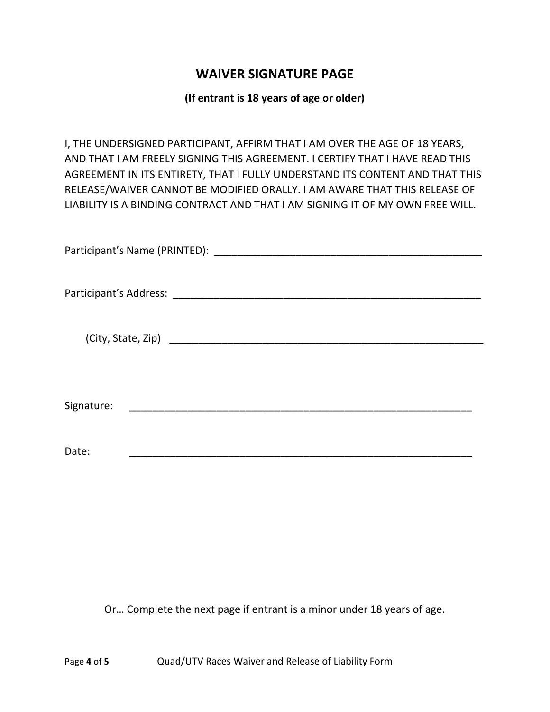### **WAIVER SIGNATURE PAGE**

### **(If entrant is 18 years of age or older)**

I, THE UNDERSIGNED PARTICIPANT, AFFIRM THAT I AM OVER THE AGE OF 18 YEARS, AND THAT I AM FREELY SIGNING THIS AGREEMENT. I CERTIFY THAT I HAVE READ THIS AGREEMENT IN ITS ENTIRETY, THAT I FULLY UNDERSTAND ITS CONTENT AND THAT THIS RELEASE/WAIVER CANNOT BE MODIFIED ORALLY. I AM AWARE THAT THIS RELEASE OF LIABILITY IS A BINDING CONTRACT AND THAT I AM SIGNING IT OF MY OWN FREE WILL.

| Signature: |
|------------|
|            |
| Date:      |

Or… Complete the next page if entrant is a minor under 18 years of age.